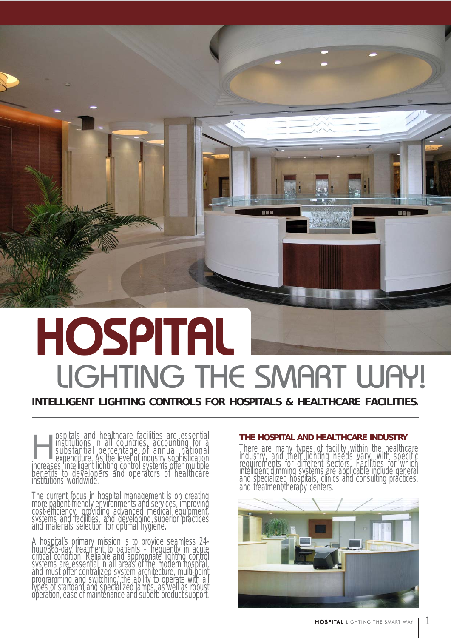

# **HOSPITAL** LIGHTING THE SMART WAY!

**INTELLIGENT LIGHTING CONTROLS FOR HOSPITALS & HEALTHCARE FACILITIES.**

ospitals and healthcare facilities are essential **THE HOSPITAL AND HEALTHCARE INDUSTRY**<br>institutions in all countries, accounting for a **interval of the analy types of facility within the health** substantial percentage of annual national expenditure. As the level of industry sophistication increases, intelligent lighting control systems offer multiple benefits to developers and operators of healthcare institutions worldwide. Spitals and healthcare facilities are essential<br>
institutions in all countries, accounting for a<br>
substantial percentage of annual national<br>
expenditure, As the level of industry sophistication<br>
industry, and their lightin

The current focus in hospital management is on creating<br>more patient-friendly environments and services, improving<br>cost-efficiency, providing advanced medical equipment, systems and facilities, and developing superior practices and materials selection for optimal hygiene.

A hospital's primary mission is to provide seamless 24-<br>hour/365-day treatment to patients – frequently in acute<br>critical condition. Reliable and appropriate lighting control systems are essential in all areas of the modern hospital, and must offer centralized system architecture, multi-point programming and switching, the ability to operate with all types of standard and specialized lamps, as well as robust<br>operation, ease of maintenance and superb product support.

industry, and their lighting needs vary, with specific<br>requirements for different sectors. Facilities for which<br>intelligent dimming systems are applicable include general and specialized hospitals, clinics and consulting practices, and treatment/therapy centers.



1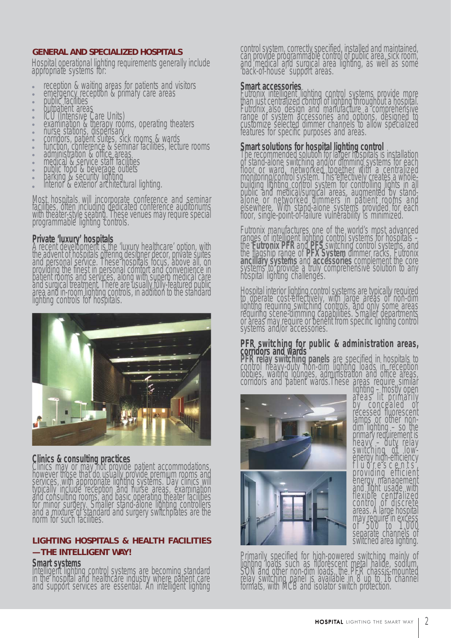#### **GENERAL AND SPECIALIZED HOSPITALS**

Hospital operational lighting requirements generally include appropriate systems for:

- reception & waiting areas for patients and visitors
- 
- 
- 
- 
- emergency reception & primary care areas<br>public facilities<br>outpatient areas<br>ICU (Intensive Care Units)<br>examination & therapy rooms, operating theaters<br>nurse stations, dispensary
- 
- 
- corridors, patient suites, sick rooms & wards<br>function, conference & seminar facilities, lecture rooms<br>administration & office areas.
- 
- medical & service staff facilities<br>public food & beverage outlets<br>parking & security lighting
- 
- 
- interior & exterior architectural lighting.

Most hospitals will incorporate conference and seminar<br>facilities, often including dedicated conference auditoriums<br>with theater-style seating. These venues may require special programmable lighting controls.

### **Private 'luxury' hospitals**

A recent development is the 'luxury healthcare' option, with<br>the advent of hospitals offering designer decor, private suites<br>and personal service. These hospitals focus, above all, on providing the finest in personal comfort and convenience in patient rooms and services, along with superb medical care and surgical treatment. There are usually fully-featured public area and in-room lighting controls, in addition to the standard lighting controls for hospitals.



**Clinics & consulting practices**<br>Clinics may or may not provide patient accommodations, however those that do usually provide premium rooms and<br>services, with appropriate lighting systems. Day clinics will<br>typically include reception and nurse areas, examination and consulting rooms, and basic operating theater facilities for minor surgery. Smaller stand-alone lighting controllers and a mixture of standard and surgery switchplates are the norm for such facilities.

### **LIGHTING HOSPITALS & HEALTH FACILITIES**

#### **— THE INTELLIGENT WAY!**

#### **Smart systems**

Intelligent lighting control systems are becoming standard in the hospital and healthcare industry where patient care and support services are essential. An intelligent lighting

control system, correctly specified, installed and maintained, can provide programmable control of public area, sick room, and medical and surgical area lighting, as well as some 'back-of-house' support areas.

**Smart accessories**<br>Futronix intelligent lighting control systems provide more than just centralized control of lighting throughout a hospital. Futronix also design and manufacture a comprehensive range of system accessories and options, designed to customize selected dimmer channels to allow specialized features for specific purposes and areas.

**Smart solutions for hospital lighting control**<br>The recommended solution for larger hospitals is installation<br>of stand-alone switching and/or dimming systems for each floor or ward, networked together with a centralized<br>monitoring/control system. This effectively creates a whole-<br>building lighting control system for controlling lights in all<br>public and medical/surgical areas, augmented floor, single-point-of-failure vulnerability is minimized.

Futronix manufactures one of the world's most advanced ranges of intelligent lighting control systems for hospitals -<br>the **Futronix PFR** and PFS switching control systems, and<br>the flagship range of PFX System dimmer racks. Futronix<br>ancillary systems and accessories complement

Hospital interior lighting control systems are typically required<br>to operate cost-effectively, with large areas of non-dim<br>lighting requiring switching controls, and only some areas requiring scene-dimming capabilities. Smaller departments or areas may require or benefit from specific lighting control systems and/or accessories.

## **PFR switching for public & administration areas, corridors and wards**

**PFR relay switching panels** are specified in hospitals to control heavy-duty non-dim lighting loads in reception lobbies, waiting lounges, administration and office areas, corridors and patient wards.These areas require similar<br>lighting – mostly open<br>areas lit primarily



by concealed or<br>recessed fluorescent<br>lamps or other nondim lighting – so the<br>primary requirement is<br>heavy – duty relay switching of low-<br>energy high-efficiency<br>fluorescents, providing efficient energy management<br>and light usage with flexible centralized control of discrete areas. A large hospital may require in excess<br>of 500 to 1,000<br>separate channels of switched area lighting.

Primarily specified for high-powered switching mainly of lighting loads such as fluorescent metal halide, sodium, SON and other non-dim loads, the PFR chassis-mounted<br>SON and other non-dim loads, the PFR chassis-mounted<br>relay switching panel is available in 8 up to 16 channel<br>fo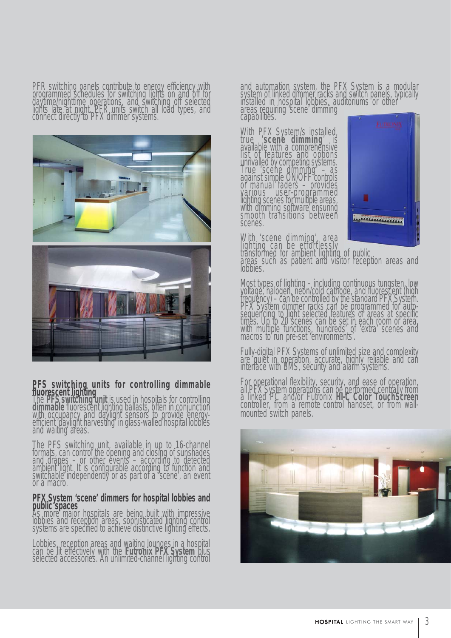PFR switching panels contribute to energy efficiency with<br>programmed schedules for switching lights on and off for<br>daytime/nighttime operations, and switching off selected lights late at night. PFR units switch all load types, and<br>connect directly to PFX dimmer systems.





PFS switching units for controlling dimmable<br>fluorescent lighting<br>The PFS switching unit is used in hospitals for controlling<br>dimmable fluorescent lighting ballasts, often in conjunction<br>with occupancy and daylight sensors and waiting areas.

The PFS switching unit, available in up to 16-channel formats, can control the opening and closing of sunshades<br>and drapes – or other events – according to detected<br>ambient light. It is configurable according to function and switchable independently or as part of a 'scene', an event or a macro.

# **PFX System 'scene' dimmers for hospital lobbies and<br>public spaces** As homitals are holing built with impressive

**Pas more major hospitals are being built with impressive lobbies and reception areas, sophisticated lighting control systems are specified to achieve distinctive lighting effects.** 

Lobbies, reception areas and waiting lounges in a hospital can be lit effectively with the **Futronix PFX System** plus selected accessories. An unlimited-channel lighting control

and automation system, the PFX System is a modular<br>system of linked dimmer racks and switch panels, typically<br>installed in hospital lobbies, auditoriums or other areas requiring 'scene' dimming capabilities.

With PFX System/s installed, true '**scene dimming**' is available with a comprehensive list of features and options unrivalled by competing systems. True 'scene dimming' – as against simple ON/OFF controls or manual faders – provides various user-programmed lighting scenes for multiple areas, with dimming software ensuring smooth transitions between scenes.



With 'scene dimming', area

lighting can be effortlessly<br>transformed for ambient lighting of public<br>areas such as patient and visitor reception areas and lobbies.

Most types of lighting – including continuous tungsten, low<br>yoltage, halogen, neon/cold cathode, and fluorescent (high<br>frequency) – can be controlled by the standard PFX System.<br>PFX System dimmer racks can be programmed fo sequencing to light selected features or areas at specific times. Up to 20 scenes can be set in each room or area, with multiple functions, hundreds' of 'extra' scenes and macros to run pre-set 'environments'.

Fully-digital PFX Systems of unlimited size and complexity are quiet in operation, accurate, highly reliable and can interface with BMS, security and alarm systems.

For operational flexibility, security, and ease of operation, all PFX System operations can be performed centrally from a linked PC and/or Futronix HI-C Color TouchScreen controller, from a remote control handset, or from

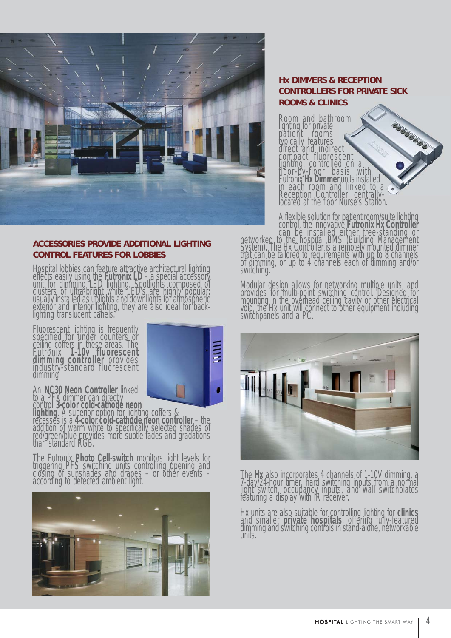

#### **ACCESSORIES PROVIDE ADDITIONAL LIGHTING CONTROL FEATURES FOR LOBBIES**

Hospital lobbies can feature attractive architectural lighting<br>effects easily using the **Futronix LD** – a special accessory<br>unit for dimming LED lighting. Spotlights composed of clusters of ultra-bright white LED's are highly popular: usually installed as uplights and downlights for atmospheric exterior and interior lighting, they are also ideal for backlighting translucent panels.

Fluorescent lighting is frequently specified for under counters or ceiling coffers in these areas. The<br>Futronix **1-10v fluorescent**<br>**dimming controller** provides<br>industry-standard fluorescent<br>dimming.



An NC30 Neon Controller linked<br>to a PFX dimmer can directly<br>control 3-color cold-cathode neon<br>lighting. A superior option for lighting coffers &<br>recesses is a 4-color cold-cathode neon controller – the<br>addition of warm whi

The Futronix **Photo Cell-switch** monitors light levels for triggering PFS switching units controlling opening and<br>closing of sunshades and drapes – or other events – according to detected ambient light.



### **Hx DIMMERS & RECEPTION CONTROLLERS FOR PRIVATE SICK ROOMS & CLINICS**

Room and bathroom<br>lighting for private apparation of patient rooms<br>typically features<br>direct and indirect compact fluorescent<br>lighting, controlled on a<br>floor-by-floor basis with Futronix **Hx Dimmer** units installed in each room and linked to a<br>in each room and linked to a<br>Reception Controller, centrallylocated at the floor Nurse's Station.

A flexible solution for patient room/suite lighting control, the innovative Futronix Hx Controller<br>can be installed either free-standing or<br>networked to the hospital BMS (Building Management<br>System). The Hx Controller is a remotely mounted dimmer<br>that can be tailored to req switching.

Modular design allows for networking multiple units, and provides for multi-point switching control. Designed for mounting in the overhead ceiling cavity or other electrical<br>void, the Hx unit will connect to other equipment including<br>switchpanels and a PC.



The **Hx** also incorporates 4 channels of 1-10V dimming, a 7-day/24-hour timer, hard switching inputs from a normal light switch, occupancy inputs, and wall switchplates featuring a display with IR receiver.

Hx units are also suitable for controlling lighting for **clinics** and smaller **private hospitals**, offering fully-featured dimming and switching controls in stand-alone, networkable units.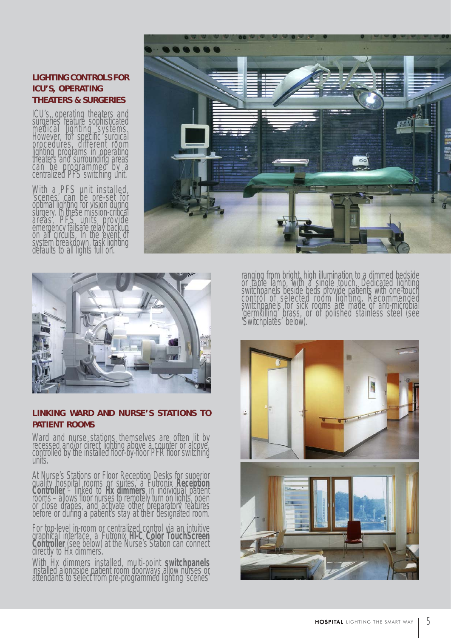### **LIGHTING CONTROLS FOR ICU'S, OPERATING THEATERS & SURGERIES**

ICU's, operating theaters and<br>surgeries feature sophisticated medical lighting systems.<br>However, for specific surgical<br>procedures, different room lighting programs in operating<br>theaters and surrounding areas<br>can be programmed by a centralized PFS switching unit.

With a PFS unit installed, 'scenes' can be pre-set for<br>optimal lighting for vision during<br>surgery. In these mission-critical areas, PFS units provide emergency failsafe relay backup on all circuits. In the event of system breakdown, task lighting<br>defaults to all lights full on.





#### **LINKING WARD AND NURSE'S STATIONS TO PATIENT ROOMS**

Ward and nurse stations themselves are often lit by recessed and/or direct lighting above a counter or alcove, controlled by the installed floor-by-floor PFR floor switching units.

At Nurse's Stations or Floor Reception Desks for superior<br>quality hospital rooms or suites, a Futronix Reception<br>Controller – linked to Hx dimmers in individual patient<br>rooms – allows floor nurses to remotely turn on light before or during a patient's stay at their designated room.

For top-level in-room or centralized control via an intuitive graphical interface, a Futronix **HI-C Color TouchScreen Controller** (see below) at the Nurse's Station can connect directly to Hx dimmers.

With Hx dimmers installed, multi-point **switchpanels** installed alongside patient room doorways allow nurses or attendants to select from pre-programmed lighting 'scenes'

ranging from bright, high illumination to a dimmed bedside<br>or table lamp, with a single touch. Dedicated lighting<br>switchpanels beside beds provide patients with one-touch control of selected room lighting. Recommended switchpanels for sick rooms are made of anti-microbial 'germkilling' brass, or of polished stainless steel (see 'Switchplates' below).

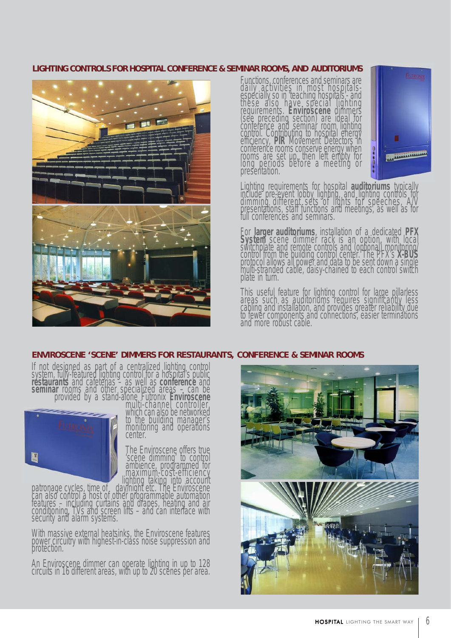#### **LIGHTING CONTROLS FOR HOSPITAL CONFERENCE & SEMINAR ROOMS, AND AUDITORIUMS**



Functions, conferences and seminars are<br>daily activities in most hospitals-<br>especially so in teaching hospitals'- and these also have special lighting requirements. **Enviroscene** dimmers (see preceding section) are ideal for conference and seminar room lighting<br>control. Contributing to hospital energy<br>efficiency, PIR Movement Detectors in<br>conference rooms conserve energy when<br>rooms are set up, then left empty for<br>long periods before a meeting conference rooms conserve energy when<br>rooms are set up, then left empty for<br>long periods before a meeting or<br>presentation.



Lighting requirements for hospital **auditoriums** typically<br>include pre-event lobby lighting, and lighting controls for<br>dimming different sets of lights for speeches, A/V<br>presentations, staff functions and meetings, as well full conferences and seminars.

For **larger auditoriums**, installation of a dedicated **PFX** For larger additionals, installation of a dedicated FFA<br>System scene dimmer rack is an option, with local<br>switchplate and remote controls and (optional) monitoring<br>control from the building control center. The PFX's X-BUS<br>

This useful feature for lighting control for large pillarless areas such as auditoriums requires significantly less cabling and installation, and provides greater reliability due<br>to fewer components and connections, easier terminations<br>and more robust cable.

#### **ENVIROSCENE 'SCENE' DIMMERS FOR RESTAURANTS, CONFERENCE & SEMINAR ROOMS**

If not designed as part of a centralized lighting control system, fully-featured lighting control for a hospital's public **restaurants** and cafeterias – as well as **conference** and **seminar** rooms and other specialized areas – can be



provided by a stand-alone Futronix **Enviroscene** multi-channel controller, which can also be networked which can also be networked<br>to the building manager's<br>monitoring and operations center.

The Enviroscene offers true<br>'scene dimming' to control<br>ambience, programmed for<br>maximum-cost-efficiency

ambience, programmed for<br>patronage cycles, time of day/night etc. The Environcement<br>can also control a host of other programmable automation<br>features – including curtains and drapes, heating and air conditioning, TVs and screen lifts – and can interface with security and alarm systems.

With massive external heatsinks, the Enviroscene features power circuitry with highest-in-class noise suppression and protection.

An Enviroscene dimmer can operate lighting in up to 128 circuits in 16 different areas, with up to 20 scenes per area.

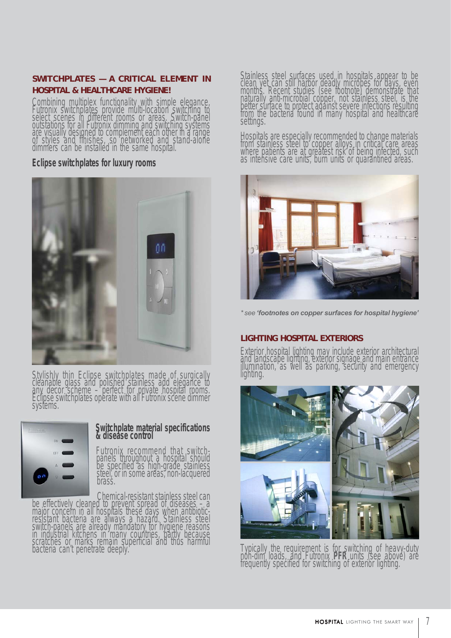#### **SWITCHPLATES — A CRITICAL ELEMENT IN HOSPITAL & HEALTHCARE HYGIENE!**

Combining multiplex functionality with simple elegance, Futronix switchplates provide multi-location switching to select scenes in different rooms or areas. Switch-panel outstations for all Futronix dimming and switching systems are visually designed to complement each other in a range of styles and finishes, so networked and stand-alone dimmers can be installed in the same hospital.

#### **Eclipse switchplates for luxury rooms**



Stylishly thin Eclipse switchplates made of surgically cleanable glass and polished stainless add elegance to any decor scheme – perfect for private hospital rooms. Eclipse switchplates operate with all Futronix scene dimmer systems.



# **Switchplate material specifications & disease control**

Futronix recommend that switch- panels throughout a hospital should be specified as high-grade stainless<br>steel, or in some areas, non-lacquered<br>brass.

Chemical-resistant stainless steel can be effectively cleaned to prevent spread of diseases – a major concern in all hospitals these days when antibiotic-<br>resistant bacteria are always a hazard. Stainless steel<br>switch-panels are already mandatory for hygiene reasons in industrial kitchens in many countries, partly because scratches or marks remain superficial and thus harmful bacteria can't penetrate deeply. Stainless steel surfaces used in hospitals appear to be<br>clean yet can still harbor deadly microbes for days, even<br>months. Recent studies (see footnote) demonstrate that<br>naturally anti-microbial copper, not stainless steel, from the bacteria found in many hospital and healthcare settings.

Hospitals are especially recommended to change materials from stainless steel to copper alloys in critical care areas where patients are at greatest risk of being infected, such as intensive care units, burn units or quarantined areas.



*\* see 'footnotes on copper surfaces for hospital hygiene'*

### **LIGHTING HOSPITAL EXTERIORS**

Exterior hospital lighting may include exterior architectural and landscape lighting, exterior signage and main entrance<br>illumination, as well as parking, security and emergency<br>lighting.



Typically the requirement is for switching of heavy-duty non-dim loads, and Futronix **PFR** units (see above) are frequently specified for switching of exterior lighting.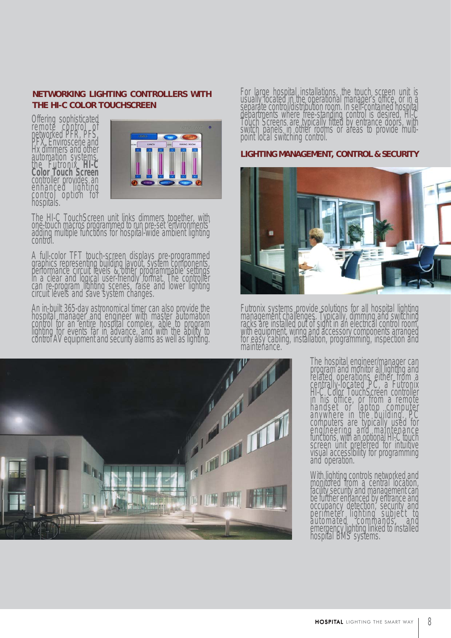#### **NETWORKING LIGHTING CONTROLLERS WITH THE HI-C COLOR TOUCHSCREEN**

Offering sophisticated<br>remote control of<br>networked PFR, PFS, PFX, Enviroscene and<br>Hx dimmers and other<br>automation systems, the Futronix **HI-C Color Touch Screen** controller provides an enhanced lighting<br>control option for<br>hospitals.



The HI-C TouchScreen unit links dimmers together, with<br>one-touch macros programmed to run pre-set 'environments' adding multiple functions for hospital-wide ambient lighting control.

A full-color TFT touch-screen displays pre-programmed<br>graphics representing building layout, system components,<br>performance circuit levels & other programmable settings in a clear and logical user-friendly format. The controller can re-program lighting scenes, raise and lower lighting circuit levels and save system changes.

An in-built 365-day astronomical timer can also provide the<br>hospital manager and engineer with master automation control for an entire hospital complex, able to program lighting for events far in advance, and with the ability to control AV equipment and security alarms as well as lighting. For large hospital installations, the touch screen unit is<br>usually located in the operational manager's office, or in a<br>separate control/distribution room. In self-contained hospital<br>departments where free-standing control point local switching control.

#### **LIGHTING MANAGEMENT, CONTROL & SECURITY**



Futronix systems provide solutions for all hospital lighting management challenges. Typically, dimming and switching racks are installed out of sight in an electrical control room, with equipment, wiring and accessory components arranged for easy cabling, installation, programming, inspection and maintenance.



The hospital engineer/manager can<br>program and monitor all lighting and<br>related operations either from a<br>centrally-located PC, a Futronix<br>HI-C Color TouchScreen controller<br>in his office, or from a remote handset or laptop computer<br>anywhere in the building. PC<br>computers are typically used for engineering and maintenance functions, with an optional HI-C touch screen unit preferred for intuitive visual accessibility for programming and operation.

With lighting controls networked and<br>monitored from a central location,<br>facility security and management can be further enfranced by entrance and<br>occupancy detection, security and<br>perimeter lighting subject to automated commands, and<br>emergency lighting linked to installed<br>hospital BMS systems.